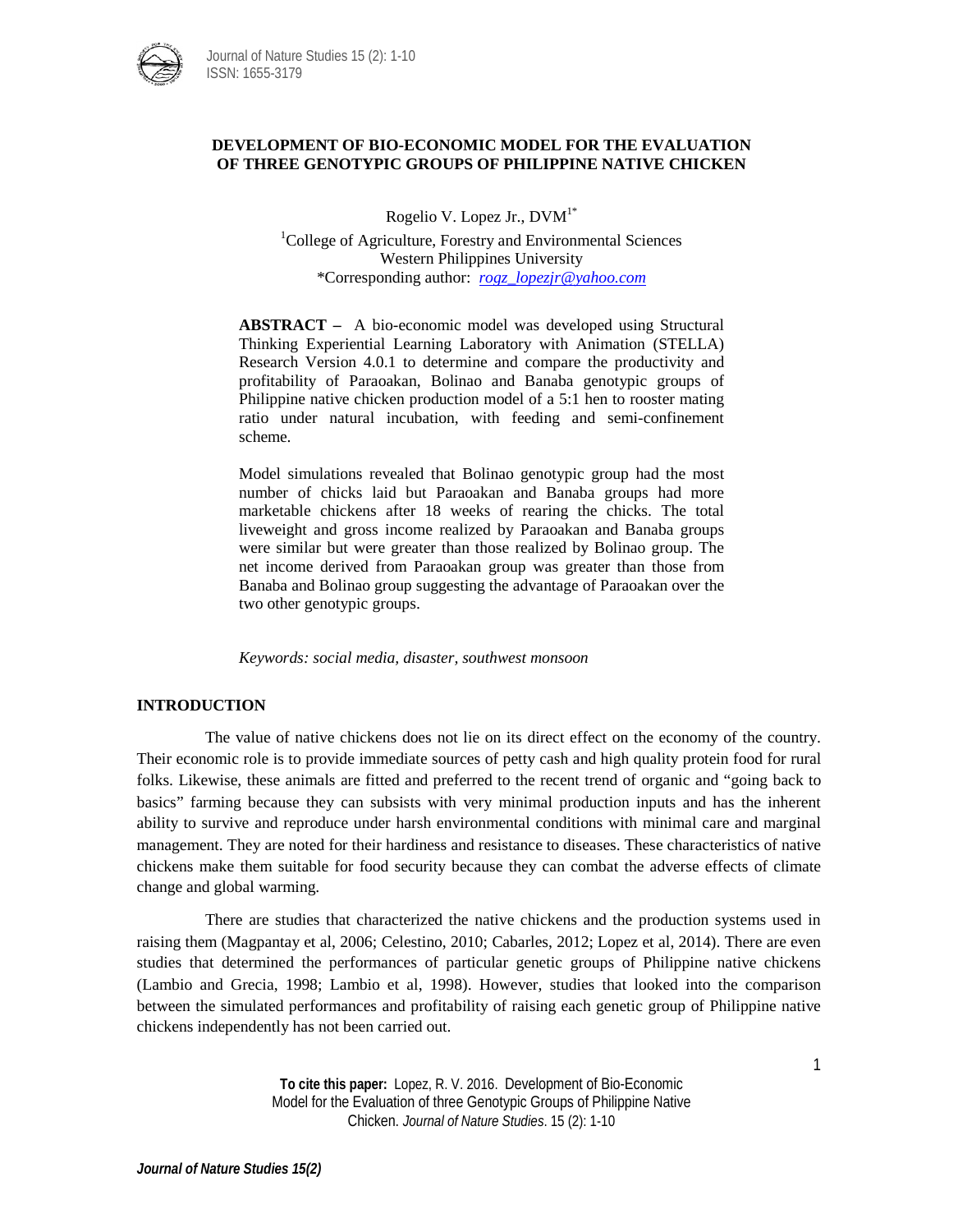

# **DEVELOPMENT OF BIO-ECONOMIC MODEL FOR THE EVALUATION OF THREE GENOTYPIC GROUPS OF PHILIPPINE NATIVE CHICKEN**

Rogelio V. Lopez Jr., DVM1\*

<sup>1</sup>College of Agriculture, Forestry and Environmental Sciences Western Philippines University \*Corresponding author: *[rogz\\_lopezjr@yahoo.com](mailto:rogz_lopezjr@yahoo.com)*

**ABSTRACT –** A bio-economic model was developed using Structural Thinking Experiential Learning Laboratory with Animation (STELLA) Research Version 4.0.1 to determine and compare the productivity and profitability of Paraoakan, Bolinao and Banaba genotypic groups of Philippine native chicken production model of a 5:1 hen to rooster mating ratio under natural incubation, with feeding and semi-confinement scheme.

Model simulations revealed that Bolinao genotypic group had the most number of chicks laid but Paraoakan and Banaba groups had more marketable chickens after 18 weeks of rearing the chicks. The total liveweight and gross income realized by Paraoakan and Banaba groups were similar but were greater than those realized by Bolinao group. The net income derived from Paraoakan group was greater than those from Banaba and Bolinao group suggesting the advantage of Paraoakan over the two other genotypic groups.

*Keywords: social media, disaster, southwest monsoon*

# **INTRODUCTION**

The value of native chickens does not lie on its direct effect on the economy of the country. Their economic role is to provide immediate sources of petty cash and high quality protein food for rural folks. Likewise, these animals are fitted and preferred to the recent trend of organic and "going back to basics" farming because they can subsists with very minimal production inputs and has the inherent ability to survive and reproduce under harsh environmental conditions with minimal care and marginal management. They are noted for their hardiness and resistance to diseases. These characteristics of native chickens make them suitable for food security because they can combat the adverse effects of climate change and global warming.

There are studies that characterized the native chickens and the production systems used in raising them (Magpantay et al, 2006; Celestino, 2010; Cabarles, 2012; Lopez et al, 2014). There are even studies that determined the performances of particular genetic groups of Philippine native chickens (Lambio and Grecia, 1998; Lambio et al, 1998). However, studies that looked into the comparison between the simulated performances and profitability of raising each genetic group of Philippine native chickens independently has not been carried out.

> **To cite this paper:** Lopez, R. V. 2016. Development of Bio-Economic Model for the Evaluation of three Genotypic Groups of Philippine Native Chicken. *Journal of Nature Studies*. 15 (2): 1-10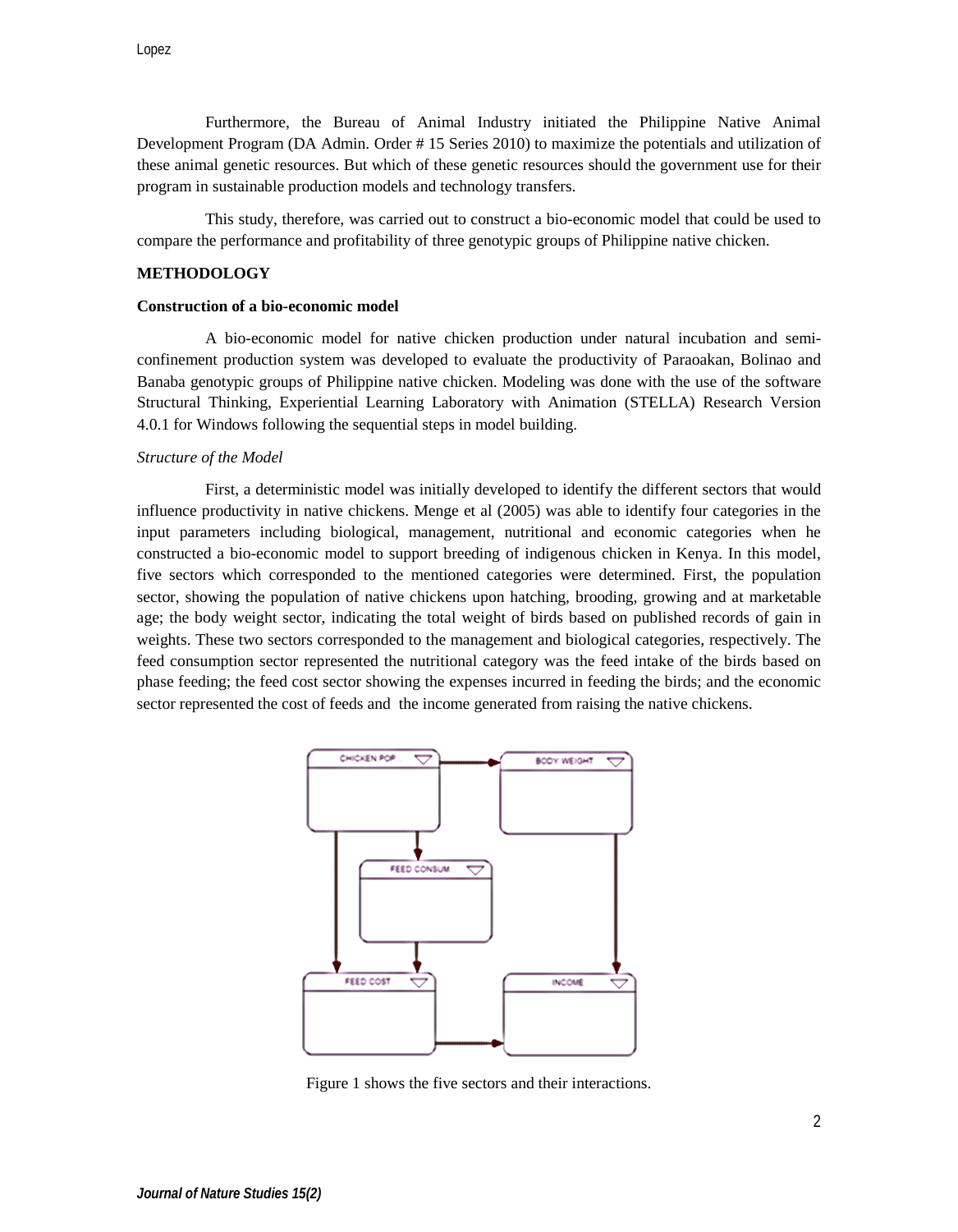Furthermore, the Bureau of Animal Industry initiated the Philippine Native Animal Development Program (DA Admin. Order # 15 Series 2010) to maximize the potentials and utilization of these animal genetic resources. But which of these genetic resources should the government use for their program in sustainable production models and technology transfers.

This study, therefore, was carried out to construct a bio-economic model that could be used to compare the performance and profitability of three genotypic groups of Philippine native chicken.

## **METHODOLOGY**

### **Construction of a bio-economic model**

A bio-economic model for native chicken production under natural incubation and semiconfinement production system was developed to evaluate the productivity of Paraoakan, Bolinao and Banaba genotypic groups of Philippine native chicken. Modeling was done with the use of the software Structural Thinking, Experiential Learning Laboratory with Animation (STELLA) Research Version 4.0.1 for Windows following the sequential steps in model building.

#### *Structure of the Model*

First, a deterministic model was initially developed to identify the different sectors that would influence productivity in native chickens. Menge et al (2005) was able to identify four categories in the input parameters including biological, management, nutritional and economic categories when he constructed a bio-economic model to support breeding of indigenous chicken in Kenya. In this model, five sectors which corresponded to the mentioned categories were determined. First, the population sector, showing the population of native chickens upon hatching, brooding, growing and at marketable age; the body weight sector, indicating the total weight of birds based on published records of gain in weights. These two sectors corresponded to the management and biological categories, respectively. The feed consumption sector represented the nutritional category was the feed intake of the birds based on phase feeding; the feed cost sector showing the expenses incurred in feeding the birds; and the economic sector represented the cost of feeds and the income generated from raising the native chickens.



Figure 1 shows the five sectors and their interactions.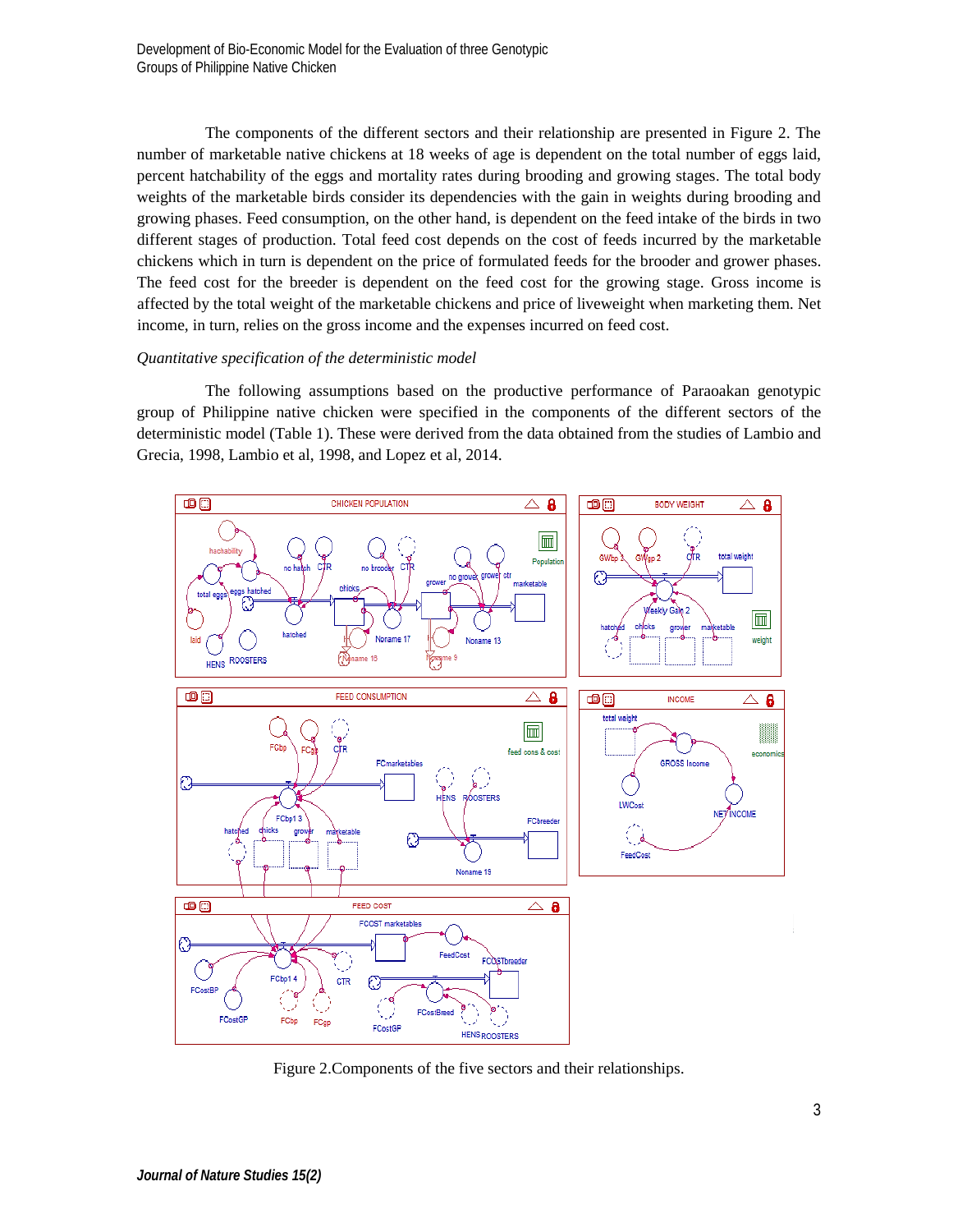The components of the different sectors and their relationship are presented in Figure 2. The number of marketable native chickens at 18 weeks of age is dependent on the total number of eggs laid, percent hatchability of the eggs and mortality rates during brooding and growing stages. The total body weights of the marketable birds consider its dependencies with the gain in weights during brooding and growing phases. Feed consumption, on the other hand, is dependent on the feed intake of the birds in two different stages of production. Total feed cost depends on the cost of feeds incurred by the marketable chickens which in turn is dependent on the price of formulated feeds for the brooder and grower phases. The feed cost for the breeder is dependent on the feed cost for the growing stage. Gross income is affected by the total weight of the marketable chickens and price of liveweight when marketing them. Net income, in turn, relies on the gross income and the expenses incurred on feed cost.

# *Quantitative specification of the deterministic model*

The following assumptions based on the productive performance of Paraoakan genotypic group of Philippine native chicken were specified in the components of the different sectors of the deterministic model (Table 1). These were derived from the data obtained from the studies of Lambio and Grecia, 1998, Lambio et al, 1998, and Lopez et al, 2014.



Figure 2.Components of the five sectors and their relationships.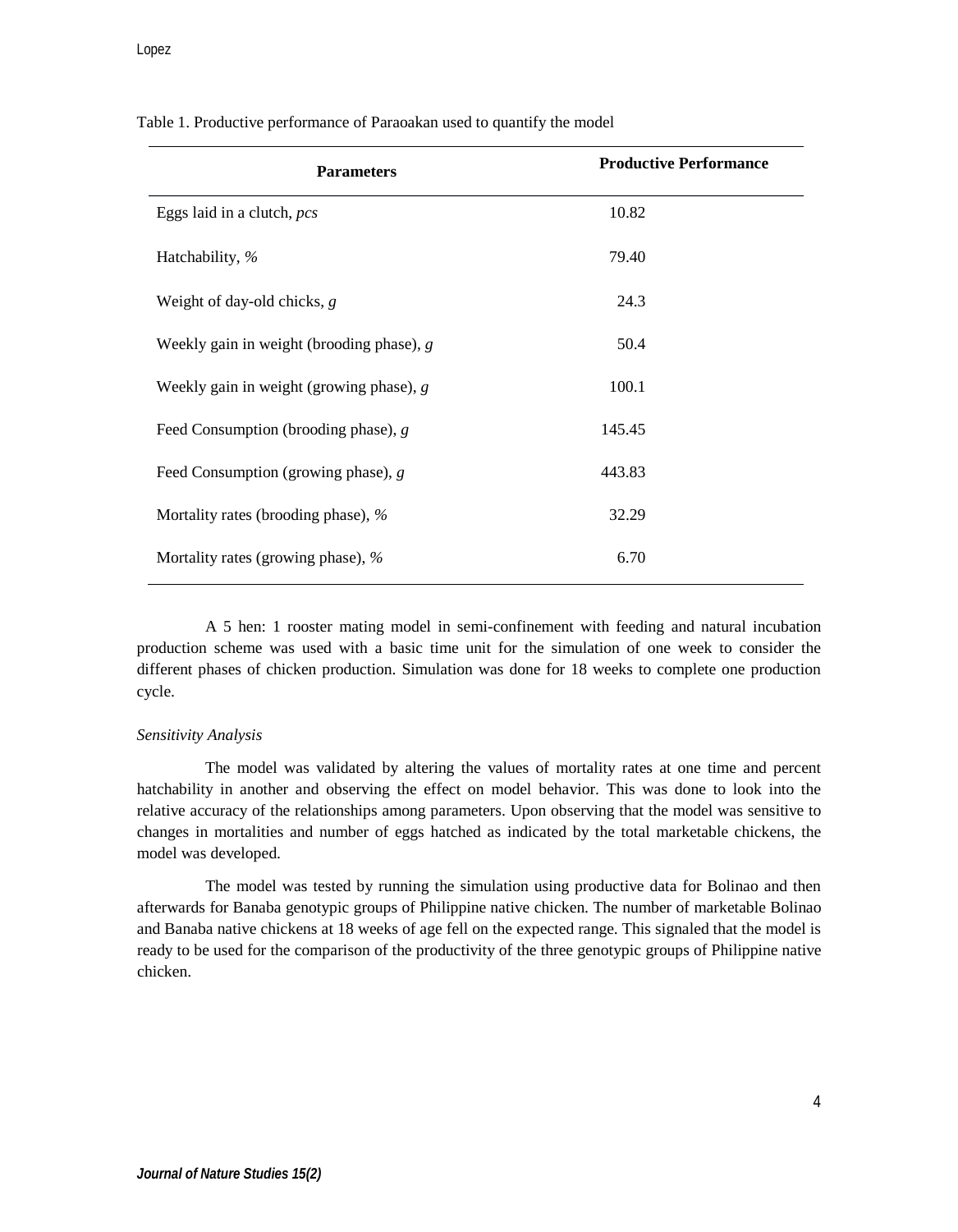| <b>Parameters</b>                           | <b>Productive Performance</b> |
|---------------------------------------------|-------------------------------|
| Eggs laid in a clutch, <i>pcs</i>           | 10.82                         |
| Hatchability, %                             | 79.40                         |
| Weight of day-old chicks, $g$               | 24.3                          |
| Weekly gain in weight (brooding phase), $g$ | 50.4                          |
| Weekly gain in weight (growing phase), $g$  | 100.1                         |
| Feed Consumption (brooding phase), $g$      | 145.45                        |
| Feed Consumption (growing phase), $g$       | 443.83                        |
| Mortality rates (brooding phase), %         | 32.29                         |
| Mortality rates (growing phase), %          | 6.70                          |

Table 1. Productive performance of Paraoakan used to quantify the model

A 5 hen: 1 rooster mating model in semi-confinement with feeding and natural incubation production scheme was used with a basic time unit for the simulation of one week to consider the different phases of chicken production. Simulation was done for 18 weeks to complete one production cycle.

#### *Sensitivity Analysis*

The model was validated by altering the values of mortality rates at one time and percent hatchability in another and observing the effect on model behavior. This was done to look into the relative accuracy of the relationships among parameters. Upon observing that the model was sensitive to changes in mortalities and number of eggs hatched as indicated by the total marketable chickens, the model was developed.

The model was tested by running the simulation using productive data for Bolinao and then afterwards for Banaba genotypic groups of Philippine native chicken. The number of marketable Bolinao and Banaba native chickens at 18 weeks of age fell on the expected range. This signaled that the model is ready to be used for the comparison of the productivity of the three genotypic groups of Philippine native chicken.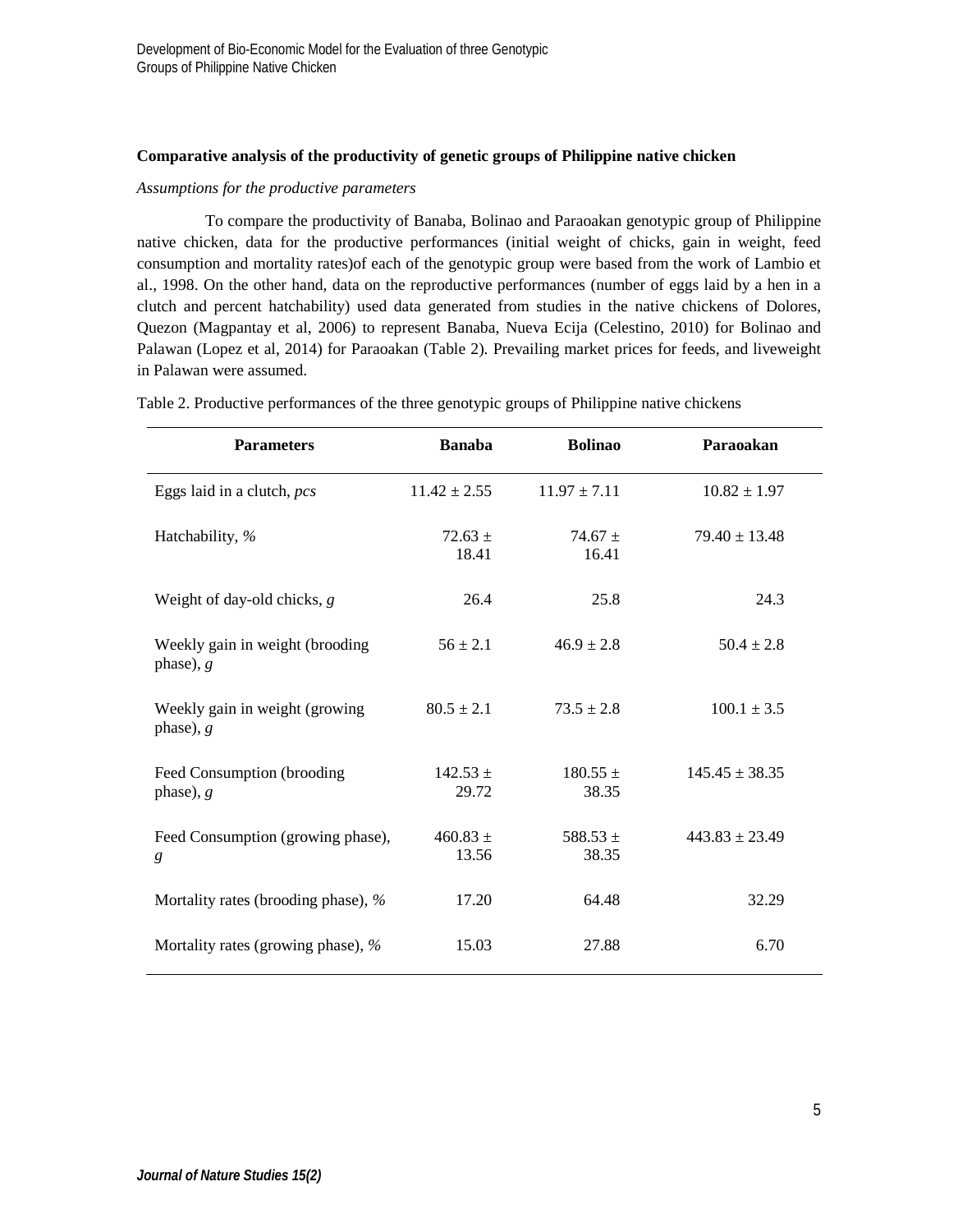# **Comparative analysis of the productivity of genetic groups of Philippine native chicken**

#### *Assumptions for the productive parameters*

To compare the productivity of Banaba, Bolinao and Paraoakan genotypic group of Philippine native chicken, data for the productive performances (initial weight of chicks, gain in weight, feed consumption and mortality rates)of each of the genotypic group were based from the work of Lambio et al., 1998. On the other hand, data on the reproductive performances (number of eggs laid by a hen in a clutch and percent hatchability) used data generated from studies in the native chickens of Dolores, Quezon (Magpantay et al, 2006) to represent Banaba, Nueva Ecija (Celestino, 2010) for Bolinao and Palawan (Lopez et al, 2014) for Paraoakan (Table 2). Prevailing market prices for feeds, and liveweight in Palawan were assumed.

| <b>Parameters</b>                              | <b>Banaba</b>         | <b>Bolinao</b>        | Paraoakan          |
|------------------------------------------------|-----------------------|-----------------------|--------------------|
| Eggs laid in a clutch, pcs                     | $11.42 \pm 2.55$      | $11.97 \pm 7.11$      | $10.82 \pm 1.97$   |
| Hatchability, %                                | $72.63 \pm$<br>18.41  | $74.67 \pm$<br>16.41  | $79.40 \pm 13.48$  |
| Weight of day-old chicks, $g$                  | 26.4                  | 25.8                  | 24.3               |
| Weekly gain in weight (brooding<br>phase), $g$ | $56 \pm 2.1$          | $46.9 \pm 2.8$        | $50.4 \pm 2.8$     |
| Weekly gain in weight (growing)<br>phase), $g$ | $80.5 \pm 2.1$        | $73.5 \pm 2.8$        | $100.1 \pm 3.5$    |
| Feed Consumption (brooding<br>phase), $g$      | $142.53 \pm$<br>29.72 | $180.55 \pm$<br>38.35 | $145.45 \pm 38.35$ |
| Feed Consumption (growing phase),<br>g         | $460.83 \pm$<br>13.56 | 588.53 $\pm$<br>38.35 | $443.83 \pm 23.49$ |
| Mortality rates (brooding phase), %            | 17.20                 | 64.48                 | 32.29              |
| Mortality rates (growing phase), %             | 15.03                 | 27.88                 | 6.70               |

Table 2. Productive performances of the three genotypic groups of Philippine native chickens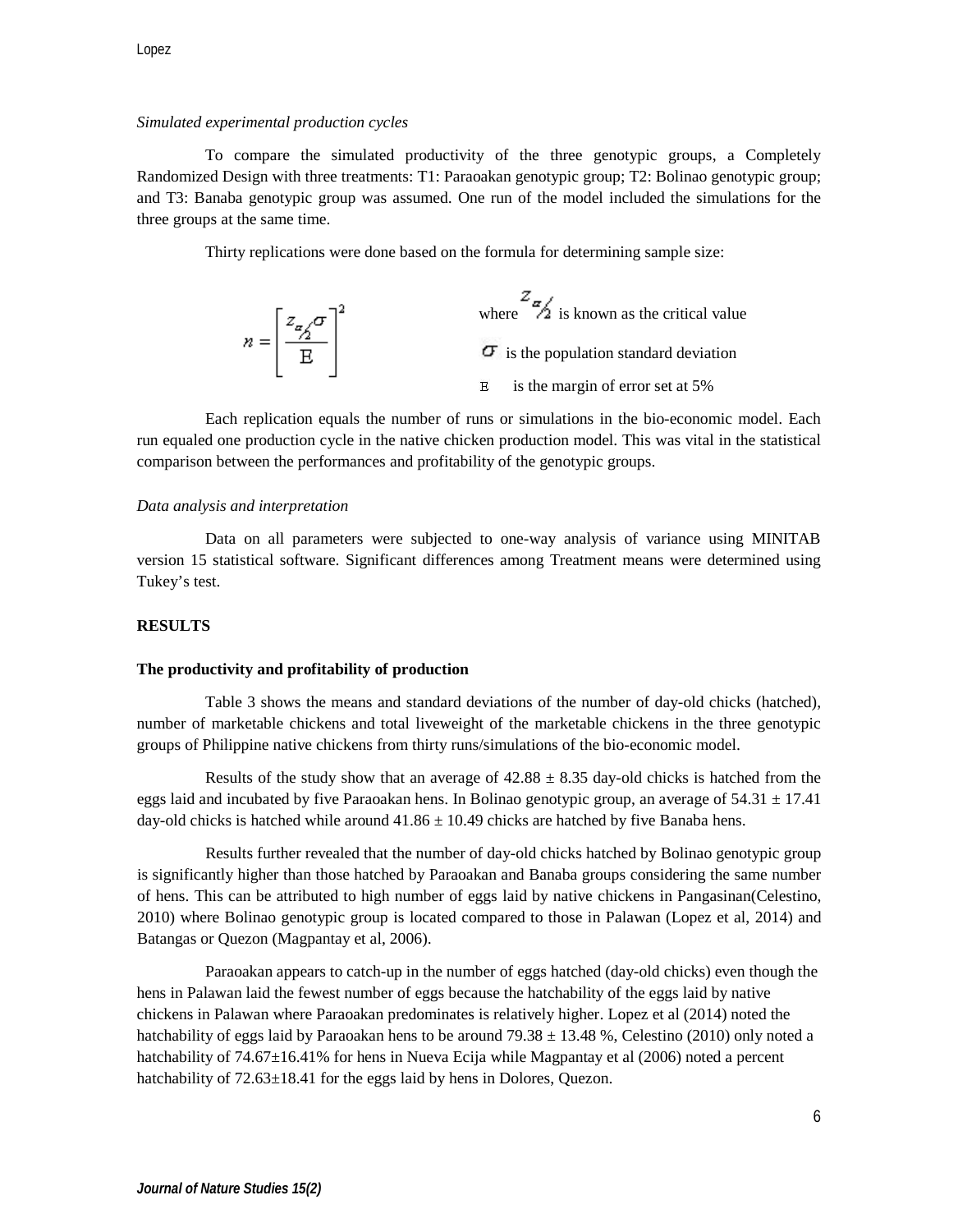# *Simulated experimental production cycles*

To compare the simulated productivity of the three genotypic groups, a Completely Randomized Design with three treatments: T1: Paraoakan genotypic group; T2: Bolinao genotypic group; and T3: Banaba genotypic group was assumed. One run of the model included the simulations for the three groups at the same time.

Thirty replications were done based on the formula for determining sample size:

| $n = \left[\frac{z_{\alpha}/\sigma}{\Delta}\right]^2$ | where $\frac{2\pi}{\sqrt{2}}$ is known as the critical value |
|-------------------------------------------------------|--------------------------------------------------------------|
|                                                       | $\sigma$ is the population standard deviation                |
|                                                       | is the margin of error set at 5%                             |

Each replication equals the number of runs or simulations in the bio-economic model. Each run equaled one production cycle in the native chicken production model. This was vital in the statistical comparison between the performances and profitability of the genotypic groups.

# *Data analysis and interpretation*

Data on all parameters were subjected to one-way analysis of variance using MINITAB version 15 statistical software. Significant differences among Treatment means were determined using Tukey's test.

# **RESULTS**

## **The productivity and profitability of production**

Table 3 shows the means and standard deviations of the number of day-old chicks (hatched), number of marketable chickens and total liveweight of the marketable chickens in the three genotypic groups of Philippine native chickens from thirty runs/simulations of the bio-economic model.

Results of the study show that an average of  $42.88 \pm 8.35$  day-old chicks is hatched from the eggs laid and incubated by five Paraoakan hens. In Bolinao genotypic group, an average of  $54.31 \pm 17.41$ day-old chicks is hatched while around  $41.86 \pm 10.49$  chicks are hatched by five Banaba hens.

Results further revealed that the number of day-old chicks hatched by Bolinao genotypic group is significantly higher than those hatched by Paraoakan and Banaba groups considering the same number of hens. This can be attributed to high number of eggs laid by native chickens in Pangasinan(Celestino, 2010) where Bolinao genotypic group is located compared to those in Palawan (Lopez et al, 2014) and Batangas or Quezon (Magpantay et al, 2006).

Paraoakan appears to catch-up in the number of eggs hatched (day-old chicks) even though the hens in Palawan laid the fewest number of eggs because the hatchability of the eggs laid by native chickens in Palawan where Paraoakan predominates is relatively higher. Lopez et al (2014) noted the hatchability of eggs laid by Paraoakan hens to be around  $79.38 \pm 13.48$ %, Celestino (2010) only noted a hatchability of 74.67 $\pm$ 16.41% for hens in Nueva Ecija while Magpantay et al (2006) noted a percent hatchability of  $72.63\pm18.41$  for the eggs laid by hens in Dolores, Quezon.

6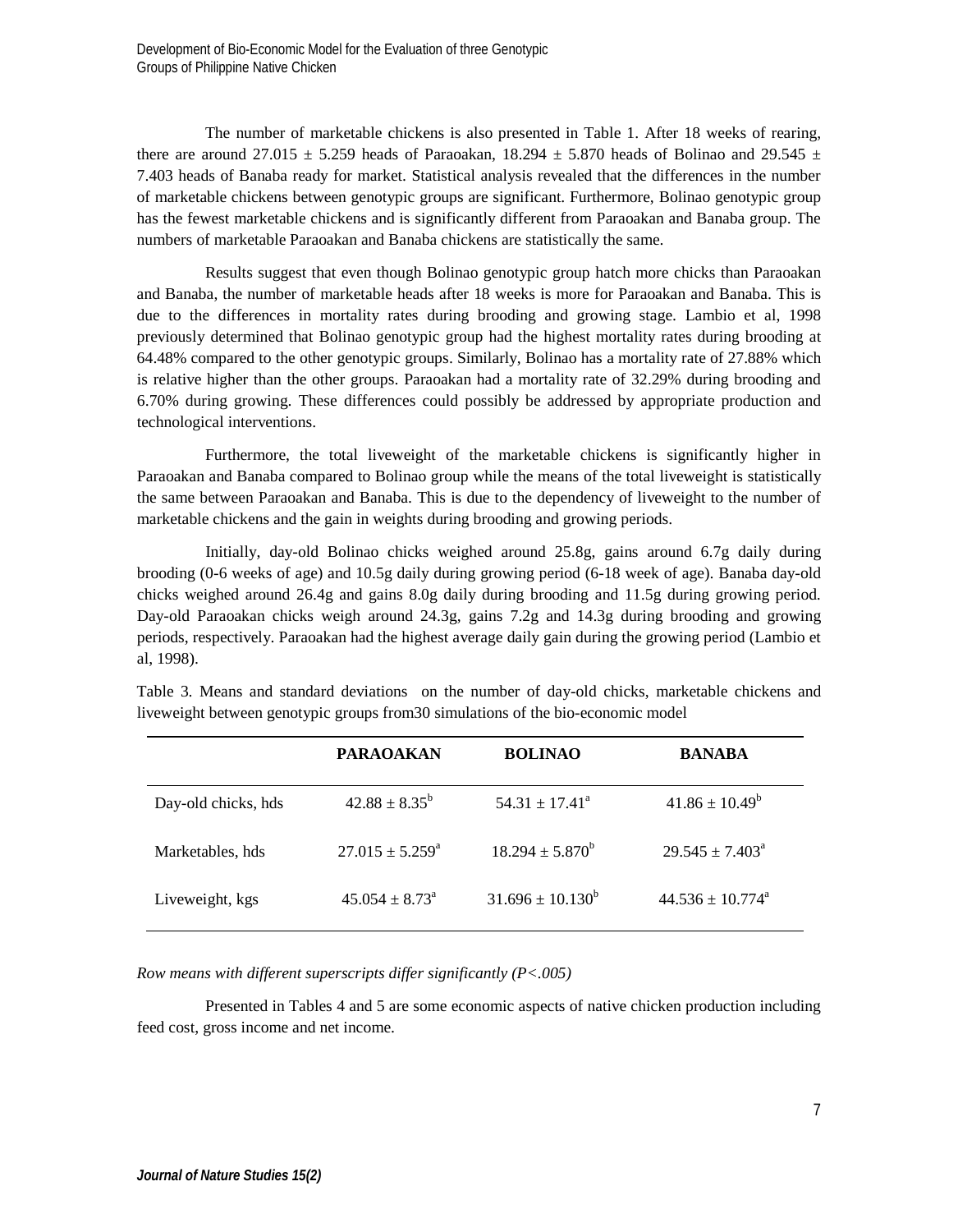The number of marketable chickens is also presented in Table 1. After 18 weeks of rearing, there are around 27.015  $\pm$  5.259 heads of Paraoakan, 18.294  $\pm$  5.870 heads of Bolinao and 29.545  $\pm$ 7.403 heads of Banaba ready for market. Statistical analysis revealed that the differences in the number of marketable chickens between genotypic groups are significant. Furthermore, Bolinao genotypic group has the fewest marketable chickens and is significantly different from Paraoakan and Banaba group. The numbers of marketable Paraoakan and Banaba chickens are statistically the same.

Results suggest that even though Bolinao genotypic group hatch more chicks than Paraoakan and Banaba, the number of marketable heads after 18 weeks is more for Paraoakan and Banaba. This is due to the differences in mortality rates during brooding and growing stage. Lambio et al, 1998 previously determined that Bolinao genotypic group had the highest mortality rates during brooding at 64.48% compared to the other genotypic groups. Similarly, Bolinao has a mortality rate of 27.88% which is relative higher than the other groups. Paraoakan had a mortality rate of 32.29% during brooding and 6.70% during growing. These differences could possibly be addressed by appropriate production and technological interventions.

Furthermore, the total liveweight of the marketable chickens is significantly higher in Paraoakan and Banaba compared to Bolinao group while the means of the total liveweight is statistically the same between Paraoakan and Banaba. This is due to the dependency of liveweight to the number of marketable chickens and the gain in weights during brooding and growing periods.

Initially, day-old Bolinao chicks weighed around 25.8g, gains around 6.7g daily during brooding (0-6 weeks of age) and 10.5g daily during growing period (6-18 week of age). Banaba day-old chicks weighed around 26.4g and gains 8.0g daily during brooding and 11.5g during growing period. Day-old Paraoakan chicks weigh around 24.3g, gains 7.2g and 14.3g during brooding and growing periods, respectively. Paraoakan had the highest average daily gain during the growing period (Lambio et al, 1998).

|                     | <b>PARAOAKAN</b>        | <b>BOLINAO</b>       | <b>BANABA</b>                  |
|---------------------|-------------------------|----------------------|--------------------------------|
| Day-old chicks, hds | $42.88 + 8.35^b$        | $54.31 + 17.41^a$    | $41.86 \pm 10.49^b$            |
| Marketables, hds    | $27.015 + 5.259^a$      | $18.294 + 5.870^{b}$ | $29.545 + 7.403^a$             |
| Liveweight, kgs     | $45.054 + 8.73^{\circ}$ | $31.696 + 10.130^b$  | $44.536 + 10.774$ <sup>a</sup> |

Table 3. Means and standard deviations on the number of day-old chicks, marketable chickens and liveweight between genotypic groups from30 simulations of the bio-economic model

*Row means with different superscripts differ significantly (P<.005)*

Presented in Tables 4 and 5 are some economic aspects of native chicken production including feed cost, gross income and net income.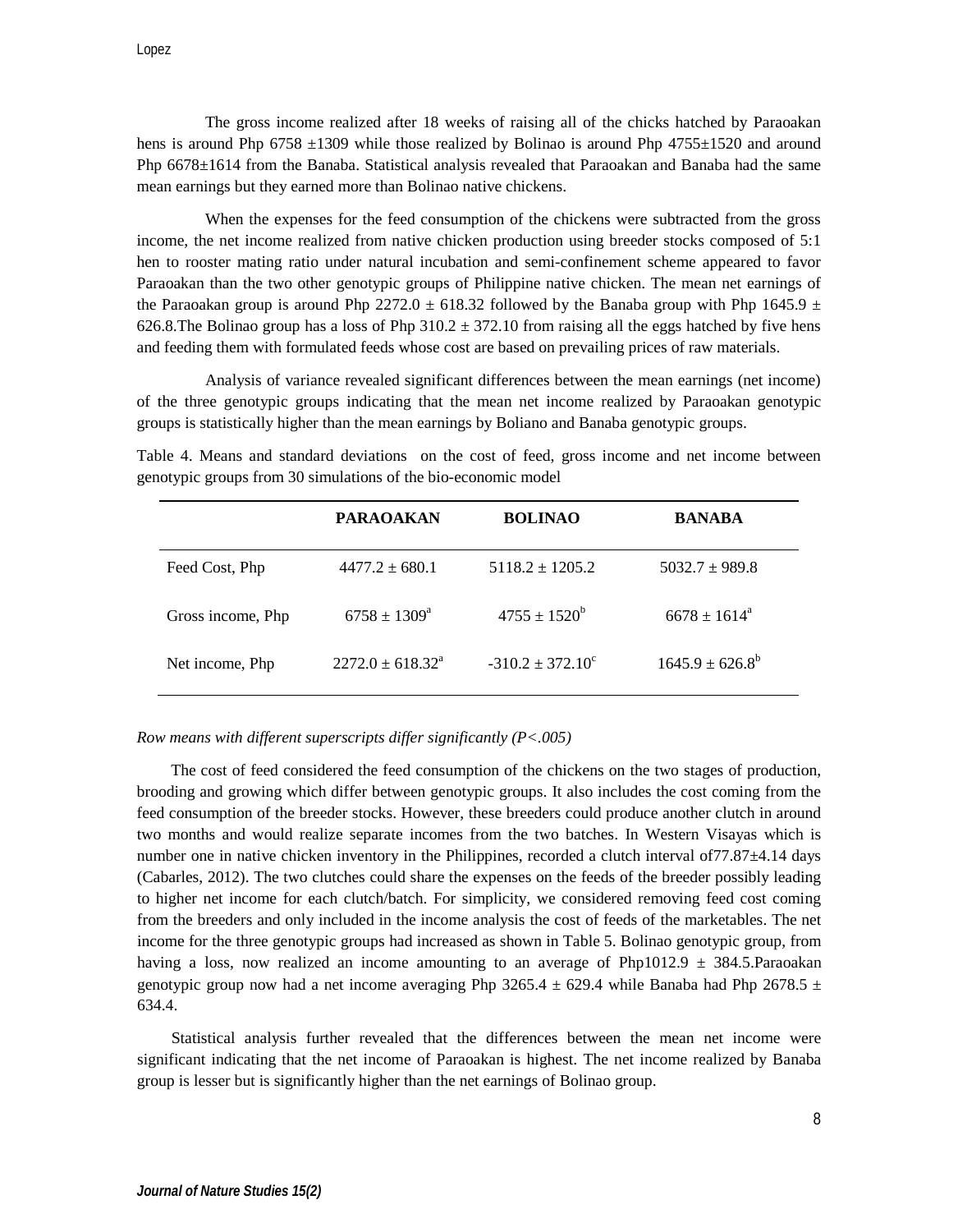The gross income realized after 18 weeks of raising all of the chicks hatched by Paraoakan hens is around Php 6758  $\pm$ 1309 while those realized by Bolinao is around Php 4755 $\pm$ 1520 and around Php 6678±1614 from the Banaba. Statistical analysis revealed that Paraoakan and Banaba had the same mean earnings but they earned more than Bolinao native chickens.

When the expenses for the feed consumption of the chickens were subtracted from the gross income, the net income realized from native chicken production using breeder stocks composed of 5:1 hen to rooster mating ratio under natural incubation and semi-confinement scheme appeared to favor Paraoakan than the two other genotypic groups of Philippine native chicken. The mean net earnings of the Paraoakan group is around Php 2272.0  $\pm$  618.32 followed by the Banaba group with Php 1645.9  $\pm$ 626.8. The Bolinao group has a loss of Php  $310.2 \pm 372.10$  from raising all the eggs hatched by five hens and feeding them with formulated feeds whose cost are based on prevailing prices of raw materials.

Analysis of variance revealed significant differences between the mean earnings (net income) of the three genotypic groups indicating that the mean net income realized by Paraoakan genotypic groups is statistically higher than the mean earnings by Boliano and Banaba genotypic groups.

**PARAOAKAN BOLINAO BANABA** Feed Cost, Php  $4477.2 \pm 680.1$   $5118.2 \pm 1205.2$   $5032.7 \pm 989.8$ Gross income, Php 6758  $\pm$  1309<sup>a</sup> 4755  $\pm$  1520<sup>b</sup> 6678  $\pm$  1614<sup>a</sup> Net income, Php  $2272.0 \pm 618.32^a$   $-310.2 \pm 372.10^c$   $1645.9 \pm 626.8^b$ 

Table 4. Means and standard deviations on the cost of feed, gross income and net income between genotypic groups from 30 simulations of the bio-economic model

## *Row means with different superscripts differ significantly (P<.005)*

The cost of feed considered the feed consumption of the chickens on the two stages of production, brooding and growing which differ between genotypic groups. It also includes the cost coming from the feed consumption of the breeder stocks. However, these breeders could produce another clutch in around two months and would realize separate incomes from the two batches. In Western Visayas which is number one in native chicken inventory in the Philippines, recorded a clutch interval of 77.87 $\pm$ 4.14 days (Cabarles, 2012). The two clutches could share the expenses on the feeds of the breeder possibly leading to higher net income for each clutch/batch. For simplicity, we considered removing feed cost coming from the breeders and only included in the income analysis the cost of feeds of the marketables. The net income for the three genotypic groups had increased as shown in Table 5. Bolinao genotypic group, from having a loss, now realized an income amounting to an average of Php1012.9  $\pm$  384.5. Paraoakan genotypic group now had a net income averaging Php 3265.4  $\pm$  629.4 while Banaba had Php 2678.5  $\pm$ 634.4.

Statistical analysis further revealed that the differences between the mean net income were significant indicating that the net income of Paraoakan is highest. The net income realized by Banaba group is lesser but is significantly higher than the net earnings of Bolinao group.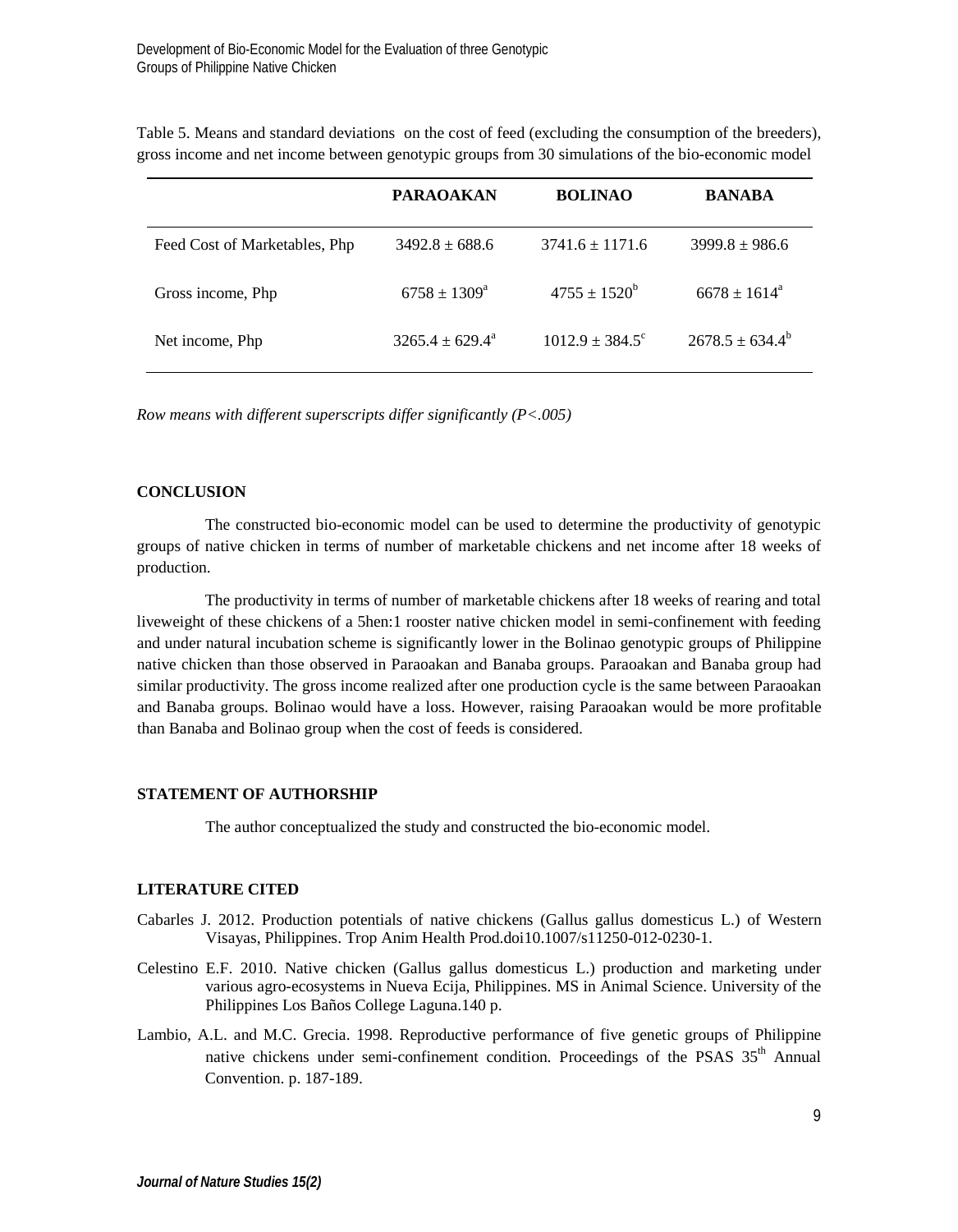|                               | <b>PARAOAKAN</b>         | <b>BOLINAO</b>           | <b>BANABA</b>         |
|-------------------------------|--------------------------|--------------------------|-----------------------|
| Feed Cost of Marketables, Php | $3492.8 + 688.6$         | $3741.6 + 1171.6$        | $3999.8 \pm 986.6$    |
| Gross income, Php             | $6758 + 1309^{\circ}$    | $4755 + 1520^b$          | $6678 + 1614^{\circ}$ |
| Net income, Php               | $3265.4 + 629.4^{\circ}$ | $1012.9 + 384.5^{\circ}$ | $2678.5 \pm 634.4^b$  |

Table 5. Means and standard deviations on the cost of feed (excluding the consumption of the breeders), gross income and net income between genotypic groups from 30 simulations of the bio-economic model

*Row means with different superscripts differ significantly (P<.005)*

#### **CONCLUSION**

The constructed bio-economic model can be used to determine the productivity of genotypic groups of native chicken in terms of number of marketable chickens and net income after 18 weeks of production.

The productivity in terms of number of marketable chickens after 18 weeks of rearing and total liveweight of these chickens of a 5hen:1 rooster native chicken model in semi-confinement with feeding and under natural incubation scheme is significantly lower in the Bolinao genotypic groups of Philippine native chicken than those observed in Paraoakan and Banaba groups. Paraoakan and Banaba group had similar productivity. The gross income realized after one production cycle is the same between Paraoakan and Banaba groups. Bolinao would have a loss. However, raising Paraoakan would be more profitable than Banaba and Bolinao group when the cost of feeds is considered.

## **STATEMENT OF AUTHORSHIP**

The author conceptualized the study and constructed the bio-economic model.

## **LITERATURE CITED**

- Cabarles J. 2012. Production potentials of native chickens (Gallus gallus domesticus L.) of Western Visayas, Philippines. Trop Anim Health Prod.doi10.1007/s11250-012-0230-1.
- Celestino E.F. 2010. Native chicken (Gallus gallus domesticus L.) production and marketing under various agro-ecosystems in Nueva Ecija, Philippines. MS in Animal Science. University of the Philippines Los Baños College Laguna.140 p.
- Lambio, A.L. and M.C. Grecia. 1998. Reproductive performance of five genetic groups of Philippine native chickens under semi-confinement condition. Proceedings of the PSAS 35<sup>th</sup> Annual Convention. p. 187-189.